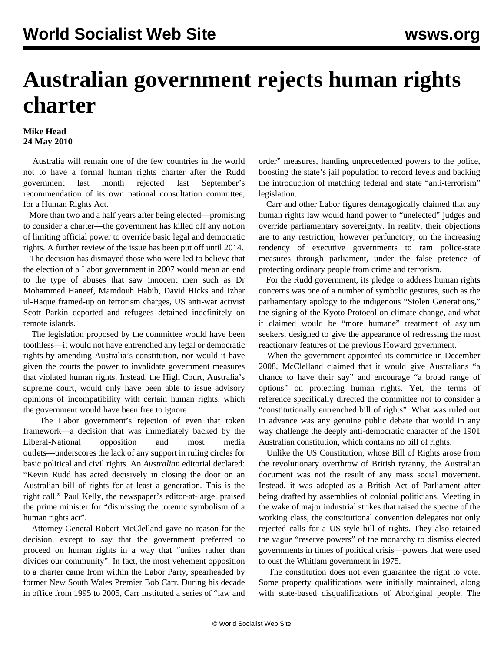## **Australian government rejects human rights charter**

## **Mike Head 24 May 2010**

 Australia will remain one of the few countries in the world not to have a formal human rights charter after the Rudd government last month rejected last September's recommendation of its own national consultation committee, for a Human Rights Act.

 More than two and a half years after being elected—promising to consider a charter—the government has killed off any notion of limiting official power to override basic legal and democratic rights. A further review of the issue has been put off until 2014.

 The decision has dismayed those who were led to believe that the election of a Labor government in 2007 would mean an end to the type of abuses that saw innocent men such as Dr Mohammed Haneef, Mamdouh Habib, David Hicks and Izhar ul-Haque framed-up on terrorism charges, US anti-war activist Scott Parkin deported and refugees detained indefinitely on remote islands.

 The legislation proposed by the committee would have been toothless—it would not have entrenched any legal or democratic rights by amending Australia's constitution, nor would it have given the courts the power to invalidate government measures that violated human rights. Instead, the High Court, Australia's supreme court, would only have been able to issue advisory opinions of incompatibility with certain human rights, which the government would have been free to ignore.

 The Labor government's rejection of even that token framework—a decision that was immediately backed by the Liberal-National opposition and most media outlets—underscores the lack of any support in ruling circles for basic political and civil rights. An *Australian* editorial declared: "Kevin Rudd has acted decisively in closing the door on an Australian bill of rights for at least a generation. This is the right call." Paul Kelly, the newspaper's editor-at-large, praised the prime minister for "dismissing the totemic symbolism of a human rights act".

 Attorney General Robert McClelland gave no reason for the decision, except to say that the government preferred to proceed on human rights in a way that "unites rather than divides our community". In fact, the most vehement opposition to a charter came from within the Labor Party, spearheaded by former New South Wales Premier Bob Carr. During his decade in office from 1995 to 2005, Carr instituted a series of "law and order" measures, handing unprecedented powers to the police, boosting the state's jail population to record levels and backing the introduction of matching federal and state "anti-terrorism" legislation.

 Carr and other Labor figures demagogically claimed that any human rights law would hand power to "unelected" judges and override parliamentary sovereignty. In reality, their objections are to any restriction, however perfunctory, on the increasing tendency of executive governments to ram police-state measures through parliament, under the false pretence of protecting ordinary people from crime and terrorism.

 For the Rudd government, its pledge to address human rights concerns was one of a number of symbolic gestures, such as the parliamentary apology to the indigenous "Stolen Generations," the signing of the Kyoto Protocol on climate change, and what it claimed would be "more humane" treatment of asylum seekers, designed to give the appearance of redressing the most reactionary features of the previous Howard government.

 When the government appointed its committee in December 2008, McClelland claimed that it would give Australians "a chance to have their say" and encourage "a broad range of options" on protecting human rights. Yet, the terms of reference specifically directed the committee not to consider a "constitutionally entrenched bill of rights". What was ruled out in advance was any genuine public debate that would in any way challenge the deeply anti-democratic character of the 1901 Australian constitution, which contains no bill of rights.

 Unlike the US Constitution, whose Bill of Rights arose from the revolutionary overthrow of British tyranny, the Australian document was not the result of any mass social movement. Instead, it was adopted as a British Act of Parliament after being drafted by assemblies of colonial politicians. Meeting in the wake of major industrial strikes that raised the spectre of the working class, the constitutional convention delegates not only rejected calls for a US-style bill of rights. They also retained the vague "reserve powers" of the monarchy to dismiss elected governments in times of political crisis—powers that were used to oust the Whitlam government in 1975.

 The constitution does not even guarantee the right to vote. Some property qualifications were initially maintained, along with state-based disqualifications of Aboriginal people. The